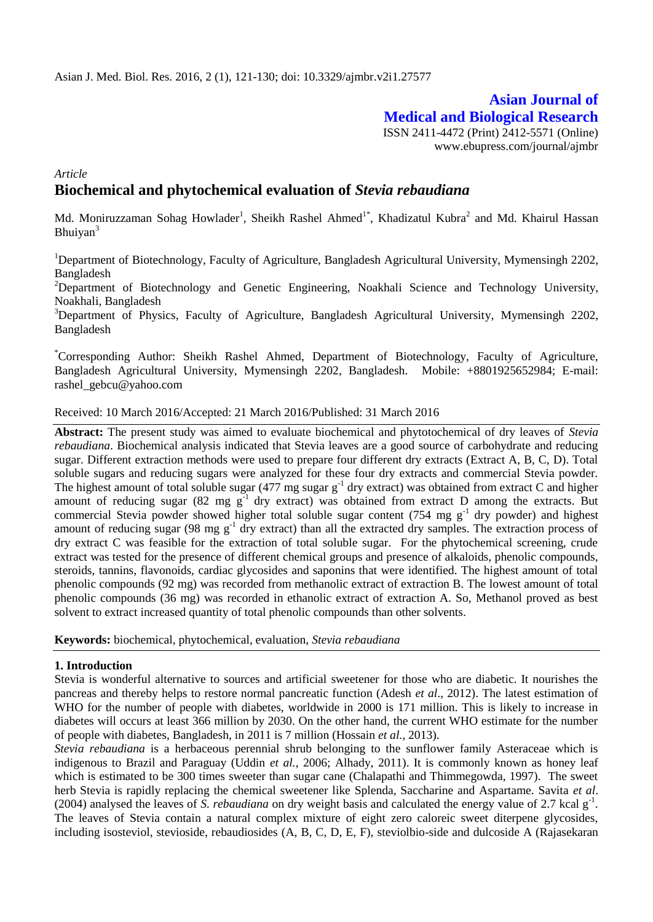# **Asian Journal of Medical and Biological Research** ISSN 2411-4472 (Print) 2412-5571 (Online)

www.ebupress.com/journal/ajmbr

# *Article* **Biochemical and phytochemical evaluation of** *Stevia rebaudiana*

Md. Moniruzzaman Sohag Howlader<sup>1</sup>, Sheikh Rashel Ahmed<sup>1\*</sup>, Khadizatul Kubra<sup>2</sup> and Md. Khairul Hassan Bhuiyan<sup>3</sup>

<sup>1</sup>Department of Biotechnology, Faculty of Agriculture, Bangladesh Agricultural University, Mymensingh 2202, Bangladesh

<sup>2</sup>Department of Biotechnology and Genetic Engineering, Noakhali Science and Technology University, Noakhali, Bangladesh

<sup>3</sup>Department of Physics, Faculty of Agriculture, Bangladesh Agricultural University, Mymensingh 2202, Bangladesh

\*Corresponding Author: Sheikh Rashel Ahmed, Department of Biotechnology, Faculty of Agriculture, Bangladesh Agricultural University, Mymensingh 2202, Bangladesh. Mobile: +8801925652984; E-mail: rashel\_gebcu@yahoo.com

Received: 10 March 2016/Accepted: 21 March 2016/Published: 31 March 2016

**Abstract:** The present study was aimed to evaluate biochemical and phytotochemical of dry leaves of *Stevia rebaudiana*. Biochemical analysis indicated that Stevia leaves are a good source of carbohydrate and reducing sugar. Different extraction methods were used to prepare four different dry extracts (Extract A, B, C, D). Total soluble sugars and reducing sugars were analyzed for these four dry extracts and commercial Stevia powder. The highest amount of total soluble sugar (477 mg sugar  $g^{-1}$  dry extract) was obtained from extract C and higher amount of reducing sugar (82 mg  $g^{-1}$  dry extract) was obtained from extract D among the extracts. But commercial Stevia powder showed higher total soluble sugar content (754 mg  $g^{-1}$  dry powder) and highest amount of reducing sugar (98 mg  $g^{-1}$  dry extract) than all the extracted dry samples. The extraction process of dry extract C was feasible for the extraction of total soluble sugar. For the phytochemical screening, crude extract was tested for the presence of different chemical groups and presence of alkaloids, phenolic compounds, steroids, tannins, flavonoids, cardiac glycosides and saponins that were identified. The highest amount of total phenolic compounds (92 mg) was recorded from methanolic extract of extraction B. The lowest amount of total phenolic compounds (36 mg) was recorded in ethanolic extract of extraction A. So, Methanol proved as best solvent to extract increased quantity of total phenolic compounds than other solvents.

**Keywords:** biochemical, phytochemical, evaluation, *Stevia rebaudiana*

#### **1. Introduction**

Stevia is wonderful alternative to sources and artificial sweetener for those who are diabetic. It nourishes the pancreas and thereby helps to restore normal pancreatic function (Adesh *et al*., 2012). The latest estimation of WHO for the number of people with diabetes, worldwide in 2000 is 171 million. This is likely to increase in diabetes will occurs at least 366 million by 2030. On the other hand, the current WHO estimate for the number of people with diabetes, Bangladesh, in 2011 is 7 million (Hossain *et al.*, 2013).

*Stevia rebaudiana* is a herbaceous perennial shrub belonging to the sunflower family Asteraceae which is indigenous to Brazil and Paraguay (Uddin *et al.*, 2006; Alhady, 2011). It is commonly known as honey leaf which is estimated to be 300 times sweeter than sugar cane (Chalapathi and Thimmegowda, 1997). The sweet herb Stevia is rapidly replacing the chemical sweetener like Splenda, Saccharine and Aspartame. Savita *et al*.  $(2004)$  analysed the leaves of *S. rebaudiana* on dry weight basis and calculated the energy value of 2.7 kcal  $g^{-1}$ . The leaves of Stevia contain a natural complex mixture of eight zero caloreic sweet diterpene glycosides, including isosteviol, stevioside, rebaudiosides (A, B, C, D, E, F), steviolbio-side and dulcoside A (Rajasekaran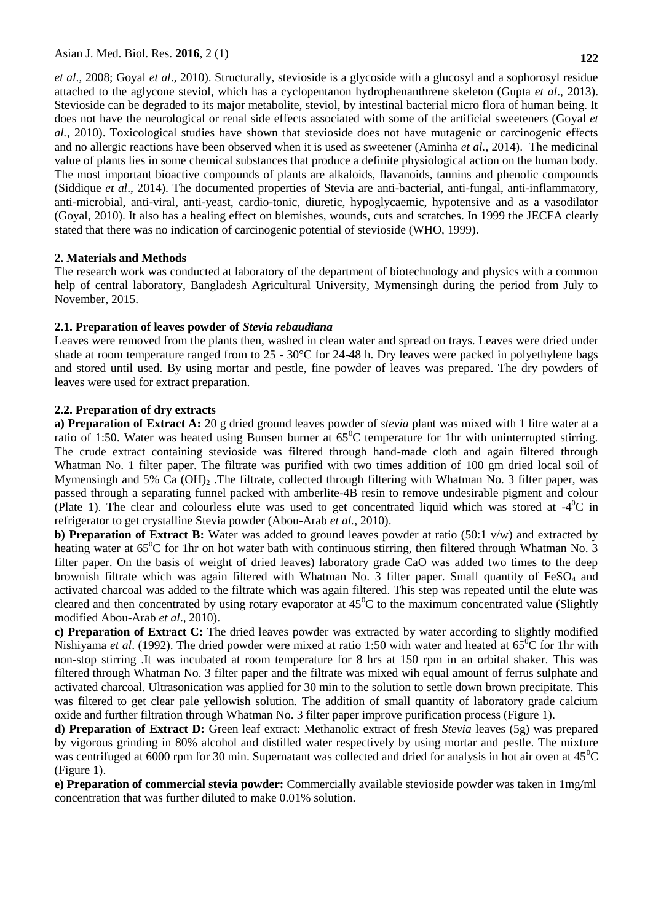*et al*., 2008; Goyal *et al*., 2010). Structurally, stevioside is a glycoside with a glucosyl and a sophorosyl residue attached to the aglycone steviol, which has a cyclopentanon hydrophenanthrene skeleton (Gupta *et al*., 2013). Stevioside can be degraded to its major metabolite, steviol, by intestinal bacterial micro flora of human being. It does not have the neurological or renal side effects associated with some of the artificial sweeteners (Goyal *et al.*, 2010). Toxicological studies have shown that stevioside does not have mutagenic or carcinogenic effects and no allergic reactions have been observed when it is used as sweetener (Aminha *et al.,* 2014). The medicinal value of plants lies in some chemical substances that produce a definite physiological action on the human body. The most important bioactive compounds of plants are alkaloids, flavanoids, tannins and phenolic compounds (Siddique *et al*., 2014). The documented properties of Stevia are anti-bacterial, anti-fungal, anti-inflammatory, anti-microbial, anti-viral, anti-yeast, cardio-tonic, diuretic, hypoglycaemic, hypotensive and as a vasodilator (Goyal, 2010). It also has a healing effect on blemishes, wounds, cuts and scratches. In 1999 the JECFA clearly stated that there was no indication of carcinogenic potential of stevioside (WHO, 1999).

#### **2. Materials and Methods**

The research work was conducted at laboratory of the department of biotechnology and physics with a common help of central laboratory, Bangladesh Agricultural University, Mymensingh during the period from July to November, 2015.

#### **2.1. Preparation of leaves powder of** *Stevia rebaudiana*

Leaves were removed from the plants then, washed in clean water and spread on trays. Leaves were dried under shade at room temperature ranged from to 25 - 30°C for 24-48 h. Dry leaves were packed in polyethylene bags and stored until used. By using mortar and pestle, fine powder of leaves was prepared. The dry powders of leaves were used for extract preparation.

#### **2.2. Preparation of dry extracts**

**a) Preparation of Extract A:** 20 g dried ground leaves powder of *stevia* plant was mixed with 1 litre water at a ratio of 1:50. Water was heated using Bunsen burner at  $65^{\circ}$ C temperature for 1hr with uninterrupted stirring. The crude extract containing stevioside was filtered through hand-made cloth and again filtered through Whatman No. 1 filter paper. The filtrate was purified with two times addition of 100 gm dried local soil of Mymensingh and 5% Ca  $(OH)_{2}$ . The filtrate, collected through filtering with Whatman No. 3 filter paper, was passed through a separating funnel packed with amberlite-4B resin to remove undesirable pigment and colour (Plate 1). The clear and colourless elute was used to get concentrated liquid which was stored at  $-4^{\circ}$ C in refrigerator to get crystalline Stevia powder (Abou-Arab *et al.,* 2010).

**b) Preparation of Extract B:** Water was added to ground leaves powder at ratio (50:1 v/w) and extracted by heating water at 65<sup>°</sup>C for 1hr on hot water bath with continuous stirring, then filtered through Whatman No. 3 filter paper. On the basis of weight of dried leaves) laboratory grade CaO was added two times to the deep brownish filtrate which was again filtered with Whatman No. 3 filter paper. Small quantity of FeSO<sub>4</sub> and activated charcoal was added to the filtrate which was again filtered. This step was repeated until the elute was cleared and then concentrated by using rotary evaporator at  $45^{\circ}$ C to the maximum concentrated value (Slightly modified Abou-Arab *et al*., 2010).

**c) Preparation of Extract C:** The dried leaves powder was extracted by water according to slightly modified Nishiyama *et al.* (1992). The dried powder were mixed at ratio 1:50 with water and heated at 65<sup>o</sup>C for 1hr with non-stop stirring .It was incubated at room temperature for 8 hrs at 150 rpm in an orbital shaker. This was filtered through Whatman No. 3 filter paper and the filtrate was mixed wih equal amount of ferrus sulphate and activated charcoal. Ultrasonication was applied for 30 min to the solution to settle down brown precipitate. This was filtered to get clear pale yellowish solution. The addition of small quantity of laboratory grade calcium oxide and further filtration through Whatman No. 3 filter paper improve purification process (Figure 1).

**d) Preparation of Extract D:** Green leaf extract: Methanolic extract of fresh *Stevia* leaves (5g) was prepared by vigorous grinding in 80% alcohol and distilled water respectively by using mortar and pestle. The mixture was centrifuged at 6000 rpm for 30 min. Supernatant was collected and dried for analysis in hot air oven at  $45^{\circ}$ C (Figure 1).

**e) Preparation of commercial stevia powder:** Commercially available stevioside powder was taken in 1mg/ml concentration that was further diluted to make 0.01% solution.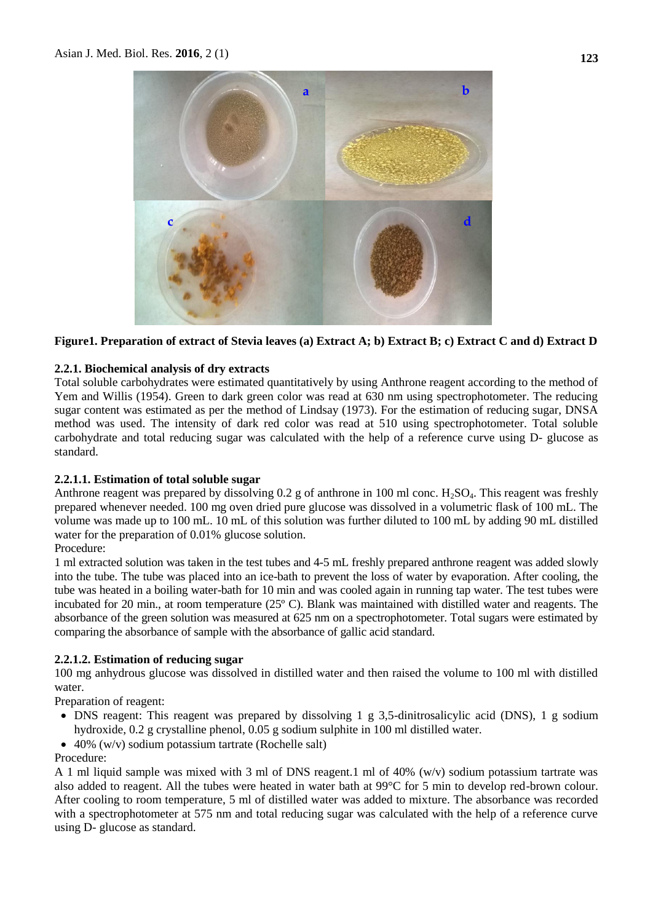

### **Figure1. Preparation of extract of Stevia leaves (a) Extract A; b) Extract B; c) Extract C and d) Extract D**

#### **2.2.1. Biochemical analysis of dry extracts**

Total soluble carbohydrates were estimated quantitatively by using Anthrone reagent according to the method of Yem and Willis (1954). Green to dark green color was read at 630 nm using spectrophotometer. The reducing sugar content was estimated as per the method of Lindsay (1973). For the estimation of reducing sugar, DNSA method was used. The intensity of dark red color was read at 510 using spectrophotometer. Total soluble carbohydrate and total reducing sugar was calculated with the help of a reference curve using D- glucose as standard.

#### **2.2.1.1. Estimation of total soluble sugar**

Anthrone reagent was prepared by dissolving 0.2 g of anthrone in 100 ml conc.  $H_2SO_4$ . This reagent was freshly prepared whenever needed. 100 mg oven dried pure glucose was dissolved in a volumetric flask of 100 mL. The volume was made up to 100 mL. 10 mL of this solution was further diluted to 100 mL by adding 90 mL distilled water for the preparation of 0.01% glucose solution.

#### Procedure:

1 ml extracted solution was taken in the test tubes and 4-5 mL freshly prepared anthrone reagent was added slowly into the tube. The tube was placed into an ice-bath to prevent the loss of water by evaporation. After cooling, the tube was heated in a boiling water-bath for 10 min and was cooled again in running tap water. The test tubes were incubated for 20 min., at room temperature (25º C). Blank was maintained with distilled water and reagents. The absorbance of the green solution was measured at 625 nm on a spectrophotometer. Total sugars were estimated by comparing the absorbance of sample with the absorbance of gallic acid standard.

## **2.2.1.2. Estimation of reducing sugar**

100 mg anhydrous glucose was dissolved in distilled water and then raised the volume to 100 ml with distilled water.

Preparation of reagent:

- DNS reagent: This reagent was prepared by dissolving 1 g 3,5-dinitrosalicylic acid (DNS), 1 g sodium hydroxide, 0.2 g crystalline phenol, 0.05 g sodium sulphite in 100 ml distilled water.
- 40% (w/v) sodium potassium tartrate (Rochelle salt)

Procedure:

A 1 ml liquid sample was mixed with 3 ml of DNS reagent.1 ml of 40% (w/v) sodium potassium tartrate was also added to reagent. All the tubes were heated in water bath at 99°C for 5 min to develop red-brown colour. After cooling to room temperature, 5 ml of distilled water was added to mixture. The absorbance was recorded with a spectrophotometer at 575 nm and total reducing sugar was calculated with the help of a reference curve using D- glucose as standard.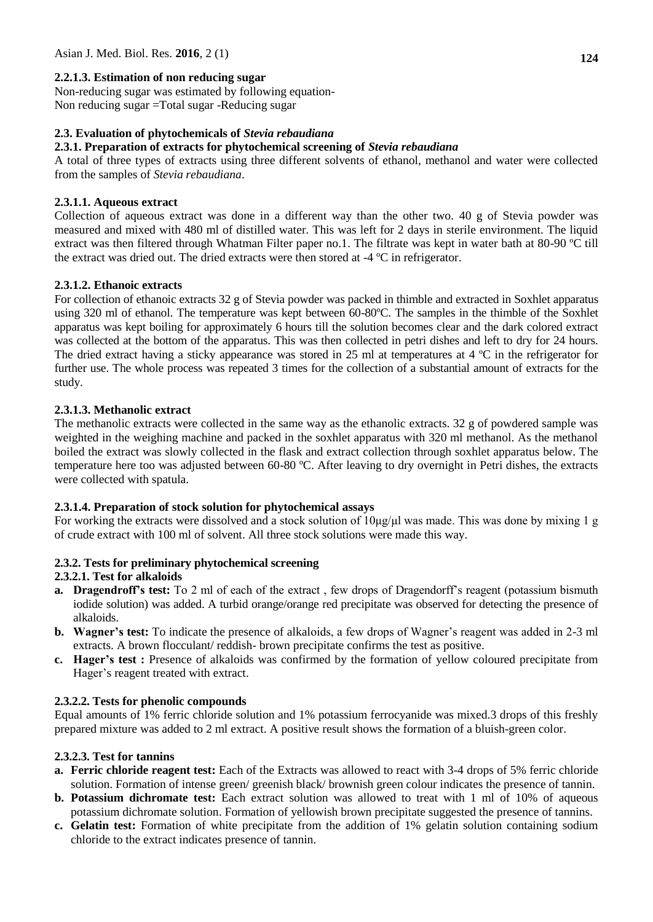# **2.2.1.3. Estimation of non reducing sugar**

Non-reducing sugar was estimated by following equation-Non reducing sugar =Total sugar -Reducing sugar

## **2.3. Evaluation of phytochemicals of** *Stevia rebaudiana*

### **2.3.1. Preparation of extracts for phytochemical screening of** *Stevia rebaudiana*

A total of three types of extracts using three different solvents of ethanol, methanol and water were collected from the samples of *Stevia rebaudiana*.

## **2.3.1.1. Aqueous extract**

Collection of aqueous extract was done in a different way than the other two. 40 g of Stevia powder was measured and mixed with 480 ml of distilled water. This was left for 2 days in sterile environment. The liquid extract was then filtered through Whatman Filter paper no.1. The filtrate was kept in water bath at 80-90 ºC till the extract was dried out. The dried extracts were then stored at -4 ºC in refrigerator.

## **2.3.1.2. Ethanoic extracts**

For collection of ethanoic extracts 32 g of Stevia powder was packed in thimble and extracted in Soxhlet apparatus using 320 ml of ethanol. The temperature was kept between 60-80ºC. The samples in the thimble of the Soxhlet apparatus was kept boiling for approximately 6 hours till the solution becomes clear and the dark colored extract was collected at the bottom of the apparatus. This was then collected in petri dishes and left to dry for 24 hours. The dried extract having a sticky appearance was stored in 25 ml at temperatures at 4 °C in the refrigerator for further use. The whole process was repeated 3 times for the collection of a substantial amount of extracts for the study.

### **2.3.1.3. Methanolic extract**

The methanolic extracts were collected in the same way as the ethanolic extracts. 32 g of powdered sample was weighted in the weighing machine and packed in the soxhlet apparatus with 320 ml methanol. As the methanol boiled the extract was slowly collected in the flask and extract collection through soxhlet apparatus below. The temperature here too was adjusted between 60-80 ºC. After leaving to dry overnight in Petri dishes, the extracts were collected with spatula.

## **2.3.1.4. Preparation of stock solution for phytochemical assays**

For working the extracts were dissolved and a stock solution of 10μg/μl was made. This was done by mixing 1 g of crude extract with 100 ml of solvent. All three stock solutions were made this way.

## **2.3.2. Tests for preliminary phytochemical screening**

## **2.3.2.1. Test for alkaloids**

- **a. Dragendroff's test:** To 2 ml of each of the extract , few drops of Dragendorff's reagent (potassium bismuth iodide solution) was added. A turbid orange/orange red precipitate was observed for detecting the presence of alkaloids.
- **b. Wagner's test:** To indicate the presence of alkaloids, a few drops of Wagner's reagent was added in 2-3 ml extracts. A brown flocculant/ reddish- brown precipitate confirms the test as positive.
- **c. Hager's test :** Presence of alkaloids was confirmed by the formation of yellow coloured precipitate from Hager's reagent treated with extract.

## **2.3.2.2. Tests for phenolic compounds**

Equal amounts of 1% ferric chloride solution and 1% potassium ferrocyanide was mixed.3 drops of this freshly prepared mixture was added to 2 ml extract. A positive result shows the formation of a bluish-green color.

## **2.3.2.3. Test for tannins**

- **a. Ferric chloride reagent test:** Each of the Extracts was allowed to react with 3-4 drops of 5% ferric chloride solution. Formation of intense green/ greenish black/ brownish green colour indicates the presence of tannin.
- **b. Potassium dichromate test:** Each extract solution was allowed to treat with 1 ml of 10% of aqueous potassium dichromate solution. Formation of yellowish brown precipitate suggested the presence of tannins.
- **c. Gelatin test:** Formation of white precipitate from the addition of 1% gelatin solution containing sodium chloride to the extract indicates presence of tannin.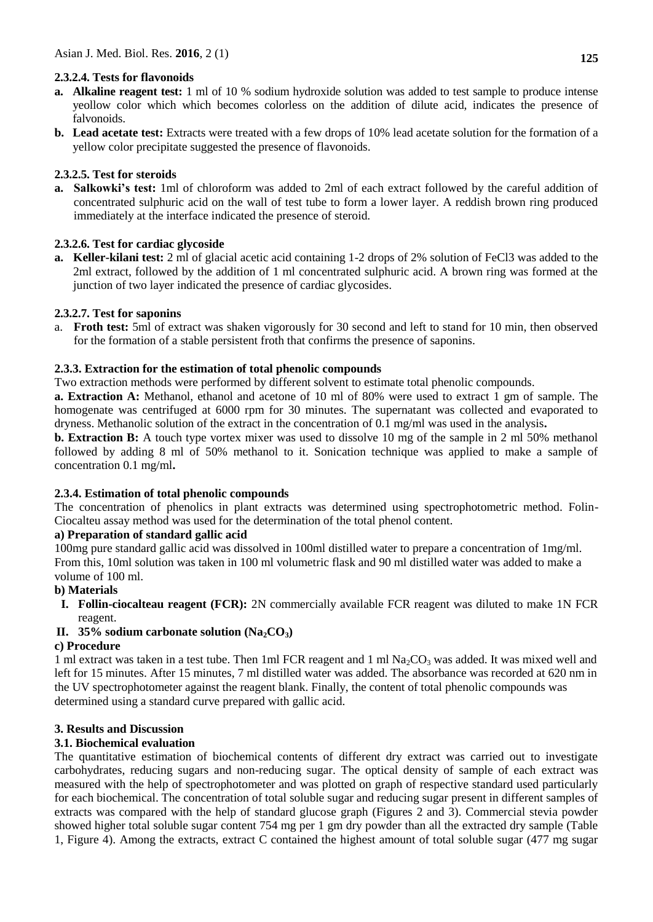## **2.3.2.4. Tests for flavonoids**

- **a. Alkaline reagent test:** 1 ml of 10 % sodium hydroxide solution was added to test sample to produce intense yeollow color which which becomes colorless on the addition of dilute acid, indicates the presence of falvonoids.
- **b. Lead acetate test:** Extracts were treated with a few drops of 10% lead acetate solution for the formation of a yellow color precipitate suggested the presence of flavonoids.

### **2.3.2.5. Test for steroids**

**a. Salkowki's test:** 1ml of chloroform was added to 2ml of each extract followed by the careful addition of concentrated sulphuric acid on the wall of test tube to form a lower layer. A reddish brown ring produced immediately at the interface indicated the presence of steroid.

### **2.3.2.6. Test for cardiac glycoside**

**a. Keller-kilani test:** 2 ml of glacial acetic acid containing 1-2 drops of 2% solution of FeCl3 was added to the 2ml extract, followed by the addition of 1 ml concentrated sulphuric acid. A brown ring was formed at the junction of two layer indicated the presence of cardiac glycosides.

### **2.3.2.7. Test for saponins**

a. **Froth test:** 5ml of extract was shaken vigorously for 30 second and left to stand for 10 min, then observed for the formation of a stable persistent froth that confirms the presence of saponins.

## **2.3.3. Extraction for the estimation of total phenolic compounds**

Two extraction methods were performed by different solvent to estimate total phenolic compounds.

**a. Extraction A:** Methanol, ethanol and acetone of 10 ml of 80% were used to extract 1 gm of sample. The homogenate was centrifuged at 6000 rpm for 30 minutes. The supernatant was collected and evaporated to dryness. Methanolic solution of the extract in the concentration of 0.1 mg/ml was used in the analysis**.** 

**b. Extraction B:** A touch type vortex mixer was used to dissolve 10 mg of the sample in 2 ml 50% methanol followed by adding 8 ml of 50% methanol to it. Sonication technique was applied to make a sample of concentration 0.1 mg/ml**.** 

#### **2.3.4. Estimation of total phenolic compounds**

The concentration of phenolics in plant extracts was determined using spectrophotometric method. Folin-Ciocalteu assay method was used for the determination of the total phenol content.

#### **a) Preparation of standard gallic acid**

100mg pure standard gallic acid was dissolved in 100ml distilled water to prepare a concentration of 1mg/ml. From this, 10ml solution was taken in 100 ml volumetric flask and 90 ml distilled water was added to make a volume of 100 ml.

#### **b) Materials**

**I. Follin-ciocalteau reagent (FCR):** 2N commercially available FCR reagent was diluted to make 1N FCR reagent.

## **II. 35% sodium carbonate solution (Na<sub>2</sub>CO<sub>3</sub>)**

#### **c) Procedure**

1 ml extract was taken in a test tube. Then 1ml FCR reagent and 1 ml  $Na_2CO_3$  was added. It was mixed well and left for 15 minutes. After 15 minutes, 7 ml distilled water was added. The absorbance was recorded at 620 nm in the UV spectrophotometer against the reagent blank. Finally, the content of total phenolic compounds was determined using a standard curve prepared with gallic acid.

#### **3. Results and Discussion**

## **3.1. Biochemical evaluation**

The quantitative estimation of biochemical contents of different dry extract was carried out to investigate carbohydrates, reducing sugars and non-reducing sugar. The optical density of sample of each extract was measured with the help of spectrophotometer and was plotted on graph of respective standard used particularly for each biochemical. The concentration of total soluble sugar and reducing sugar present in different samples of extracts was compared with the help of standard glucose graph (Figures 2 and 3). Commercial stevia powder showed higher total soluble sugar content 754 mg per 1 gm dry powder than all the extracted dry sample (Table 1, Figure 4). Among the extracts, extract C contained the highest amount of total soluble sugar (477 mg sugar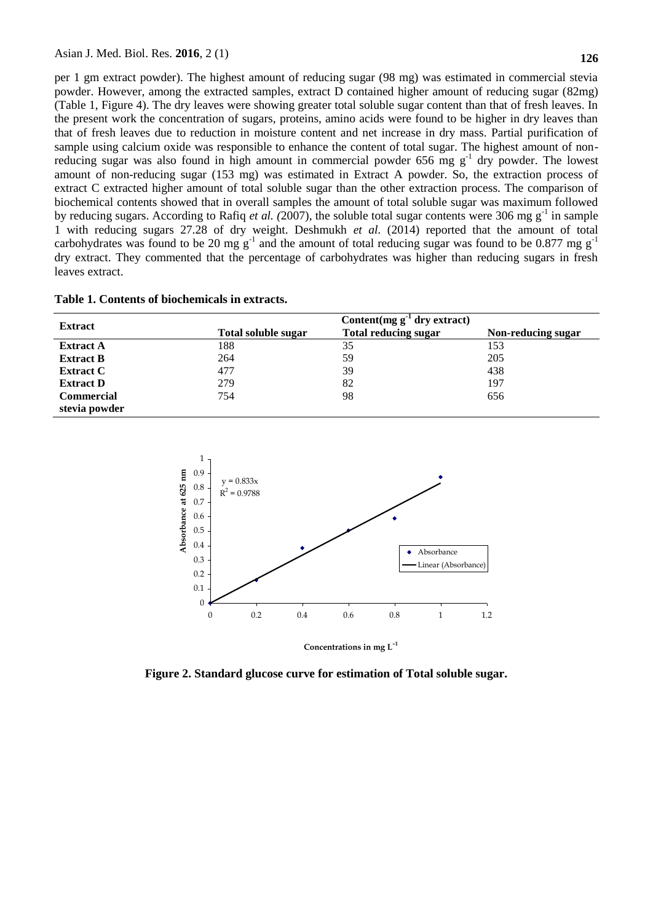per 1 gm extract powder). The highest amount of reducing sugar (98 mg) was estimated in commercial stevia powder. However, among the extracted samples, extract D contained higher amount of reducing sugar (82mg) (Table 1, Figure 4). The dry leaves were showing greater total soluble sugar content than that of fresh leaves. In the present work the concentration of sugars, proteins, amino acids were found to be higher in dry leaves than that of fresh leaves due to reduction in moisture content and net increase in dry mass. Partial purification of sample using calcium oxide was responsible to enhance the content of total sugar. The highest amount of nonreducing sugar was also found in high amount in commercial powder 656 mg  $g^{-1}$  dry powder. The lowest amount of non-reducing sugar (153 mg) was estimated in Extract A powder. So, the extraction process of extract C extracted higher amount of total soluble sugar than the other extraction process. The comparison of biochemical contents showed that in overall samples the amount of total soluble sugar was maximum followed by reducing sugars. According to Rafiq *et al.* (2007), the soluble total sugar contents were 306 mg g<sup>-1</sup> in sample 1 with reducing sugars 27.28 of dry weight. Deshmukh *et al.* (2014) reported that the amount of total carbohydrates was found to be 20 mg  $g^{-1}$  and the amount of total reducing sugar was found to be 0.877 mg  $g^{-1}$ dry extract. They commented that the percentage of carbohydrates was higher than reducing sugars in fresh leaves extract.

| Table 1. Contents of biochemicals in extracts. |  |  |  |  |
|------------------------------------------------|--|--|--|--|
|------------------------------------------------|--|--|--|--|

|                   | Content(mg $g^{-1}$ dry extract) |                             |                    |  |  |
|-------------------|----------------------------------|-----------------------------|--------------------|--|--|
| <b>Extract</b>    | Total soluble sugar              | <b>Total reducing sugar</b> | Non-reducing sugar |  |  |
| <b>Extract A</b>  | 188                              | 35                          | 153                |  |  |
| <b>Extract B</b>  | 264                              | 59                          | 205                |  |  |
| <b>Extract C</b>  | 477                              | 39                          | 438                |  |  |
| <b>Extract D</b>  | 279                              | 82                          | 197                |  |  |
| <b>Commercial</b> | 754                              | 98                          | 656                |  |  |
| stevia powder     |                                  |                             |                    |  |  |



**Figure 2. Standard glucose curve for estimation of Total soluble sugar.**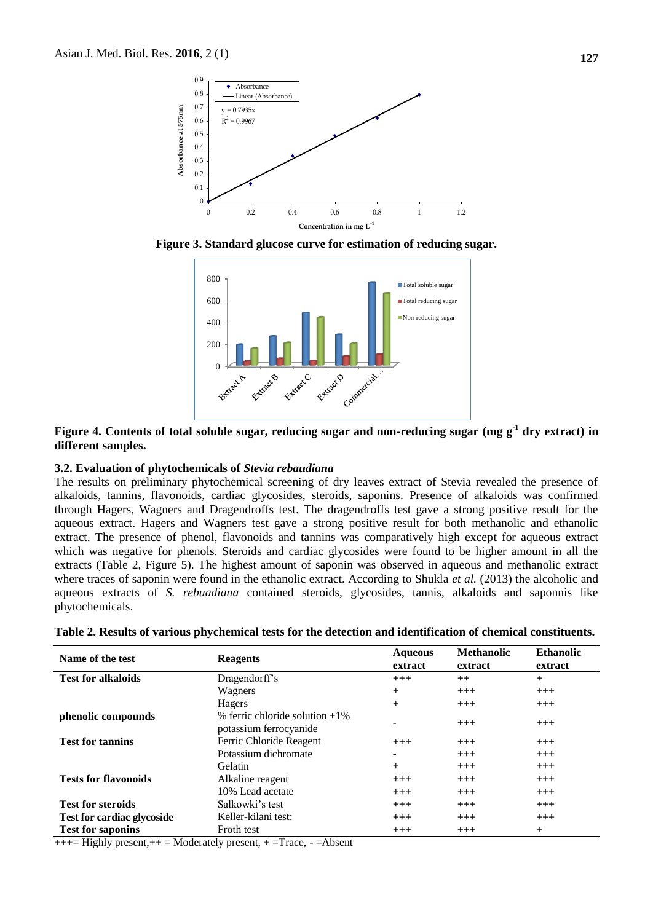

**Figure 3. Standard glucose curve for estimation of reducing sugar.**



#### **Figure 4. Contents of total soluble sugar, reducing sugar and non-reducing sugar (mg g-1 dry extract) in different samples.**

#### **3.2. Evaluation of phytochemicals of** *Stevia rebaudiana*

The results on preliminary phytochemical screening of dry leaves extract of Stevia revealed the presence of alkaloids, tannins, flavonoids, cardiac glycosides, steroids, saponins. Presence of alkaloids was confirmed through Hagers, Wagners and Dragendroffs test. The dragendroffs test gave a strong positive result for the aqueous extract. Hagers and Wagners test gave a strong positive result for both methanolic and ethanolic extract. The presence of phenol, flavonoids and tannins was comparatively high except for aqueous extract which was negative for phenols. Steroids and cardiac glycosides were found to be higher amount in all the extracts (Table 2, Figure 5). The highest amount of saponin was observed in aqueous and methanolic extract where traces of saponin were found in the ethanolic extract. According to Shukla *et al.* (2013) the alcoholic and aqueous extracts of *S. rebuadiana* contained steroids, glycosides, tannis, alkaloids and saponnis like phytochemicals.

| Name of the test                  | <b>Reagents</b>                                               | <b>Aqueous</b><br>extract | <b>Methanolic</b><br>extract | <b>Ethanolic</b><br>extract |
|-----------------------------------|---------------------------------------------------------------|---------------------------|------------------------------|-----------------------------|
| <b>Test for alkaloids</b>         | Dragendorff's                                                 | $+++$                     | $++$                         | $+$                         |
|                                   | Wagners                                                       | $\overline{+}$            | $+++$                        | $^{+++}$                    |
|                                   | Hagers                                                        | $\overline{+}$            | $+++$                        | $+++$                       |
| phenolic compounds                | $%$ ferric chloride solution $+1\%$<br>potassium ferrocyanide |                           | $^{+++}$                     | $+++$                       |
| <b>Test for tannins</b>           | Ferric Chloride Reagent                                       | $+++$                     | $+++$                        | $+++$                       |
|                                   | Potassium dichromate                                          |                           | $+++$                        | $+++$                       |
|                                   | Gelatin                                                       | $\overline{+}$            | $+++$                        | $+++$                       |
| <b>Tests for flavonoids</b>       | Alkaline reagent                                              | $+++$                     | $^{+++}$                     | $+++$                       |
|                                   | 10% Lead acetate                                              | $+++$                     | $+++$                        | $+++$                       |
| <b>Test for steroids</b>          | Salkowki's test                                               | $+++$                     | $^{+++}$                     | $^{+++}$                    |
| <b>Test for cardiac glycoside</b> | Keller-kilani test:                                           | $+++$                     | $+++$                        | $+++$                       |
| <b>Test for saponins</b>          | Froth test                                                    | $^{+++}$                  | $^{+++}$                     | $+$                         |

**Table 2. Results of various phychemical tests for the detection and identification of chemical constituents.**

+++= Highly present,++ = Moderately present, + =Trace, - =Absent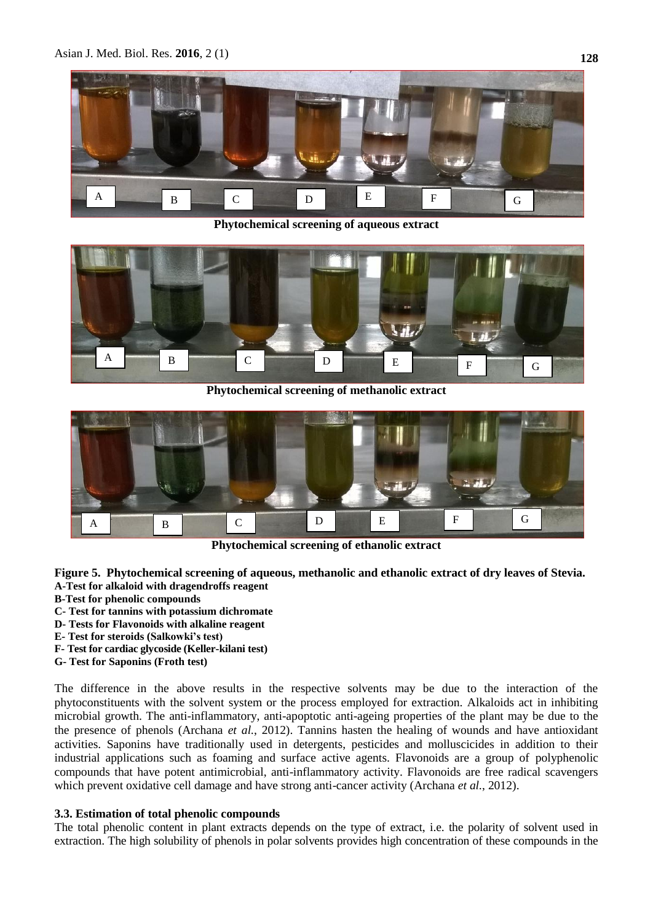

**Phytochemical screening of aqueous extract**



**Phytochemical screening of methanolic extract**



**Phytochemical screening of ethanolic extract**

- **Figure 5. Phytochemical screening of aqueous, methanolic and ethanolic extract of dry leaves of Stevia. A-Test for alkaloid with dragendroffs reagent**
- **B-Test for phenolic compounds**
- **C- Test for tannins with potassium dichromate**
- **D- Tests for Flavonoids with alkaline reagent**
- **E- Test for steroids (Salkowki's test)**
- **F- Test for cardiac glycoside (Keller-kilani test)**
- **G- Test for Saponins (Froth test)**

The difference in the above results in the respective solvents may be due to the interaction of the phytoconstituents with the solvent system or the process employed for extraction. Alkaloids act in inhibiting microbial growth. The anti-inflammatory, anti-apoptotic anti-ageing properties of the plant may be due to the the presence of phenols (Archana *et al.*, 2012). Tannins hasten the healing of wounds and have antioxidant activities. Saponins have traditionally used in detergents, pesticides and molluscicides in addition to their industrial applications such as foaming and surface active agents. Flavonoids are a group of polyphenolic compounds that have potent antimicrobial, anti-inflammatory activity. Flavonoids are free radical scavengers which prevent oxidative cell damage and have strong anti-cancer activity (Archana *et al.*, 2012).

#### **3.3. Estimation of total phenolic compounds**

The total phenolic content in plant extracts depends on the type of extract, i.e. the polarity of solvent used in extraction. The high solubility of phenols in polar solvents provides high concentration of these compounds in the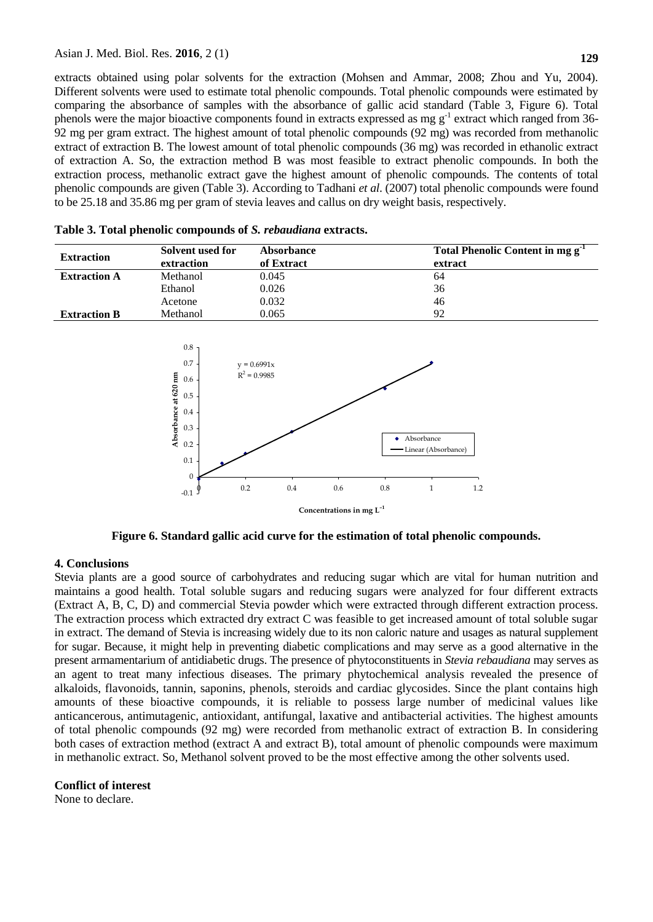extracts obtained using polar solvents for the extraction (Mohsen and Ammar, 2008; Zhou and Yu, 2004). Different solvents were used to estimate total phenolic compounds. Total phenolic compounds were estimated by comparing the absorbance of samples with the absorbance of gallic acid standard (Table 3, Figure 6). Total phenols were the major bioactive components found in extracts expressed as mg g<sup>-1</sup> extract which ranged from 36-92 mg per gram extract. The highest amount of total phenolic compounds (92 mg) was recorded from methanolic extract of extraction B. The lowest amount of total phenolic compounds (36 mg) was recorded in ethanolic extract of extraction A. So, the extraction method B was most feasible to extract phenolic compounds. In both the extraction process, methanolic extract gave the highest amount of phenolic compounds. The contents of total phenolic compounds are given (Table 3). According to Tadhani *et al*. (2007) total phenolic compounds were found to be 25.18 and 35.86 mg per gram of stevia leaves and callus on dry weight basis, respectively.



**Table 3. Total phenolic compounds of** *S. rebaudiana* **extracts.**

**Figure 6. Standard gallic acid curve for the estimation of total phenolic compounds.**

#### **4. Conclusions**

Stevia plants are a good source of carbohydrates and reducing sugar which are vital for human nutrition and maintains a good health. Total soluble sugars and reducing sugars were analyzed for four different extracts (Extract A, B, C, D) and commercial Stevia powder which were extracted through different extraction process. The extraction process which extracted dry extract C was feasible to get increased amount of total soluble sugar in extract. The demand of Stevia is increasing widely due to its non caloric nature and usages as natural supplement for sugar. Because, it might help in preventing diabetic complications and may serve as a good alternative in the present armamentarium of antidiabetic drugs. The presence of phytoconstituents in *Stevia rebaudiana* may serves as an agent to treat many infectious diseases. The primary phytochemical analysis revealed the presence of alkaloids, flavonoids, tannin, saponins, phenols, steroids and cardiac glycosides. Since the plant contains high amounts of these bioactive compounds, it is reliable to possess large number of medicinal values like anticancerous, antimutagenic, antioxidant, antifungal, laxative and antibacterial activities. The highest amounts of total phenolic compounds (92 mg) were recorded from methanolic extract of extraction B. In considering both cases of extraction method (extract A and extract B), total amount of phenolic compounds were maximum in methanolic extract. So, Methanol solvent proved to be the most effective among the other solvents used.

## **Conflict of interest**

None to declare.